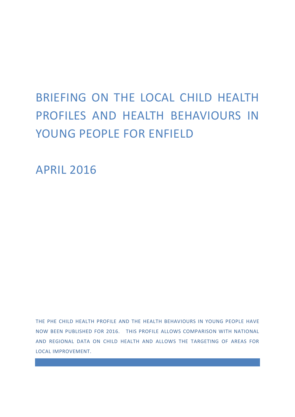# BRIEFING ON THE LOCAL CHILD HEALTH PROFILES AND HEALTH BEHAVIOURS IN YOUNG PEOPLE FOR ENFIELD

APRIL 2016

THE PHE CHILD HEALTH PROFILE AND THE HEALTH BEHAVIOURS IN YOUNG PEOPLE HAVE NOW BEEN PUBLISHED FOR 2016. THIS PROFILE ALLOWS COMPARISON WITH NATIONAL AND REGIONAL DATA ON CHILD HEALTH AND ALLOWS THE TARGETING OF AREAS FOR LOCAL IMPROVEMENT.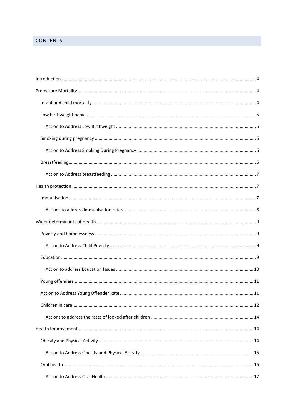# **CONTENTS**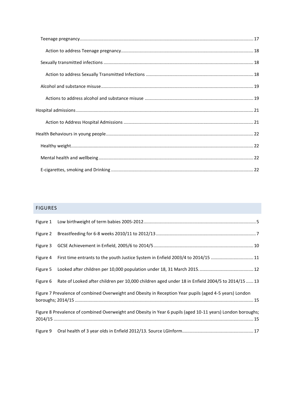# FIGURES

| Figure 4 First time entrants to the youth Justice System in Enfield 2003/4 to 2014/15 11                    |
|-------------------------------------------------------------------------------------------------------------|
|                                                                                                             |
| Figure 6 Rate of Looked after children per 10,000 children aged under 18 in Enfield 2004/5 to 2014/15  13   |
| Figure 7 Prevalence of combined Overweight and Obesity in Reception Year pupils (aged 4-5 years) London     |
| Figure 8 Prevalence of combined Overweight and Obesity in Year 6 pupils (aged 10-11 years) London boroughs; |
|                                                                                                             |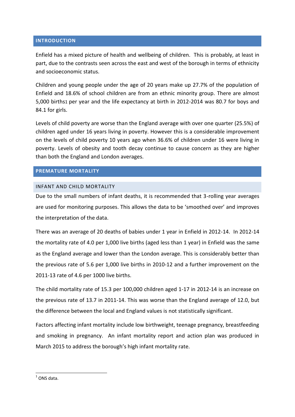# <span id="page-3-0"></span>**INTRODUCTION**

Enfield has a mixed picture of health and wellbeing of children. This is probably, at least in part, due to the contrasts seen across the east and west of the borough in terms of ethnicity and socioeconomic status.

Children and young people under the age of 20 years make up 27.7% of the population of Enfield and 18.6% of school children are from an ethnic minority group. There are almost 5,000 births1 per year and the life expectancy at birth in 2012-2014 was 80.7 for boys and 84.1 for girls.

Levels of child poverty are worse than the England average with over one quarter (25.5%) of children aged under 16 years living in poverty. However this is a considerable improvement on the levels of child poverty 10 years ago when 36.6% of children under 16 were living in poverty. Levels of obesity and tooth decay continue to cause concern as they are higher than both the England and London averages.

# <span id="page-3-1"></span>**PREMATURE MORTALITY**

# <span id="page-3-2"></span>INFANT AND CHILD MORTALITY

Due to the small numbers of infant deaths, it is recommended that 3-rolling year averages are used for monitoring purposes. This allows the data to be 'smoothed over' and improves the interpretation of the data.

There was an average of 20 deaths of babies under 1 year in Enfield in 2012-14. In 2012-14 the mortality rate of 4.0 per 1,000 live births (aged less than 1 year) in Enfield was the same as the England average and lower than the London average. This is considerably better than the previous rate of 5.6 per 1,000 live births in 2010-12 and a further improvement on the 2011-13 rate of 4.6 per 1000 live births.

The child mortality rate of 15.3 per 100,000 children aged 1-17 in 2012-14 is an increase on the previous rate of 13.7 in 2011-14. This was worse than the England average of 12.0, but the difference between the local and England values is not statistically significant.

Factors affecting infant mortality include low birthweight, teenage pregnancy, breastfeeding and smoking in pregnancy. An infant mortality report and action plan was produced in March 2015 to address the borough's high infant mortality rate.

 $\frac{1}{1}$  ONS data.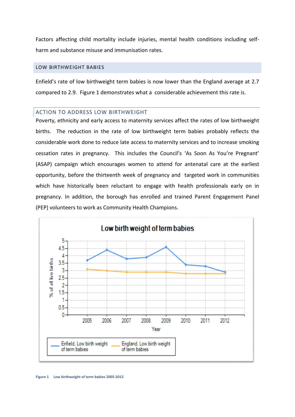Factors affecting child mortality include injuries, mental health conditions including selfharm and substance misuse and immunisation rates.

#### <span id="page-4-0"></span>LOW BIRTHWEIGHT BABIES

Enfield's rate of low birthweight term babies is now lower than the England average at 2.7 compared to 2.9. Figure 1 demonstrates what a considerable achievement this rate is.

#### <span id="page-4-1"></span>ACTION TO ADDRESS LOW BIRTHWEIGHT

Poverty, ethnicity and early access to maternity services affect the rates of low birthweight births. The reduction in the rate of low birthweight term babies probably reflects the considerable work done to reduce late access to maternity services and to increase smoking cessation rates in pregnancy. This includes the Council's 'As Soon As You're Pregnant' (ASAP) campaign which encourages women to attend for antenatal care at the earliest opportunity, before the thirteenth week of pregnancy and targeted work in communities which have historically been reluctant to engage with health professionals early on in pregnancy. In addition, the borough has enrolled and trained Parent Engagement Panel (PEP) volunteers to work as Community Health Champions.

<span id="page-4-2"></span>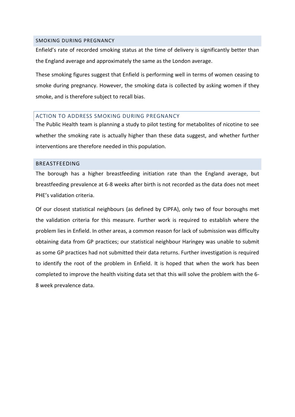#### <span id="page-5-0"></span>SMOKING DURING PREGNANCY

Enfield's rate of recorded smoking status at the time of delivery is significantly better than the England average and approximately the same as the London average.

These smoking figures suggest that Enfield is performing well in terms of women ceasing to smoke during pregnancy. However, the smoking data is collected by asking women if they smoke, and is therefore subject to recall bias.

# <span id="page-5-1"></span>ACTION TO ADDRESS SMOKING DURING PREGNANCY

The Public Health team is planning a study to pilot testing for metabolites of nicotine to see whether the smoking rate is actually higher than these data suggest, and whether further interventions are therefore needed in this population.

#### <span id="page-5-2"></span>BREASTFEEDING

The borough has a higher breastfeeding initiation rate than the England average, but breastfeeding prevalence at 6-8 weeks after birth is not recorded as the data does not meet PHE's validation criteria.

Of our closest statistical neighbours (as defined by CIPFA), only two of four boroughs met the validation criteria for this measure. Further work is required to establish where the problem lies in Enfield. In other areas, a common reason for lack of submission was difficulty obtaining data from GP practices; our statistical neighbour Haringey was unable to submit as some GP practices had not submitted their data returns. Further investigation is required to identify the root of the problem in Enfield. It is hoped that when the work has been completed to improve the health visiting data set that this will solve the problem with the 6- 8 week prevalence data.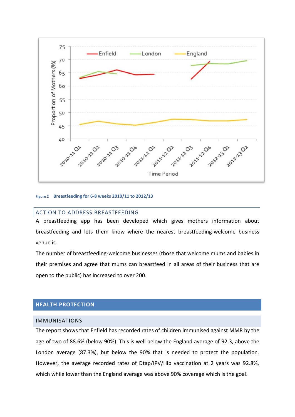

#### <span id="page-6-3"></span>**Figure 2 Breastfeeding for 6-8 weeks 2010/11 to 2012/13**

#### <span id="page-6-0"></span>ACTION TO ADDRESS BREASTFEEDING

A breastfeeding app has been developed which gives mothers information about breastfeeding and lets them know where the nearest breastfeeding-welcome business venue is.

The number of breastfeeding-welcome businesses (those that welcome mums and babies in their premises and agree that mums can breastfeed in all areas of their business that are open to the public) has increased to over 200.

# <span id="page-6-1"></span>**HEALTH PROTECTION**

#### <span id="page-6-2"></span>IMMUNISATIONS

The report shows that Enfield has recorded rates of children immunised against MMR by the age of two of 88.6% (below 90%). This is well below the England average of 92.3, above the London average (87.3%), but below the 90% that is needed to protect the population. However, the average recorded rates of Dtap/IPV/Hib vaccination at 2 years was 92.8%, which while lower than the England average was above 90% coverage which is the goal.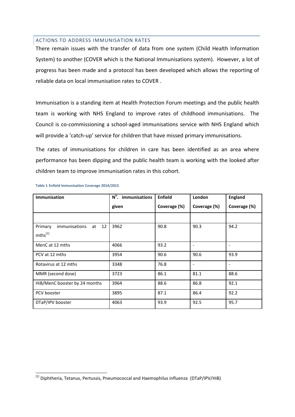## <span id="page-7-0"></span>ACTIONS TO ADDRESS IMMUNISATION RATES

There remain issues with the transfer of data from one system (Child Health Information System) to another (COVER which is the National Immunisations system). However, a lot of progress has been made and a protocol has been developed which allows the reporting of reliable data on local immunisation rates to COVER .

Immunisation is a standing item at Health Protection Forum meetings and the public health team is working with NHS England to improve rates of childhood immunisations. The Council is co-commissioning a school-aged immunisations service with NHS England which will provide a 'catch-up' service for children that have missed primary immunisations.

The rates of immunisations for children in care has been identified as an area where performance has been dipping and the public health team is working with the looked after children team to improve immunisation rates in this cohort.

| <b>Immunisation</b>                  | N°. immunisations | <b>Enfield</b> | London                   | <b>England</b>           |  |
|--------------------------------------|-------------------|----------------|--------------------------|--------------------------|--|
|                                      | given             | Coverage (%)   | Coverage (%)             | Coverage (%)             |  |
|                                      |                   |                |                          |                          |  |
| Primary<br>immunisations<br>12<br>at | 3962              | 90.8           | 90.3                     | 94.2                     |  |
| $m$ ths <sup>[1]</sup>               |                   |                |                          |                          |  |
| MenC at 12 mths                      | 4066              | 93.2           | $\overline{\phantom{a}}$ | $\overline{\phantom{a}}$ |  |
| PCV at 12 mths                       | 3954              | 90.6           | 90.6                     | 93.9                     |  |
| Rotavirus at 12 mths                 | 3348              | 76.8           | $\overline{\phantom{a}}$ | $\overline{\phantom{a}}$ |  |
| MMR (second dose)                    | 3723              | 86.1           | 81.1                     | 88.6                     |  |
| HiB/MenC booster by 24 months        | 3964              | 88.6           | 86.8                     | 92.1                     |  |
| PCV booster                          | 3895              | 87.1           | 86.4                     | 92.2                     |  |
| DTaP/IPV booster                     | 4063              | 93.9           | 92.5                     | 95.7                     |  |

**Table 1 Enfield Immunisation Coverage 2014/2015**

<sup>1</sup> <sup>[1]</sup> Diphtheria, Tetanus, Pertussis, Pneumococcal and Haemophilus influenza (DTaP/IPV/HiB)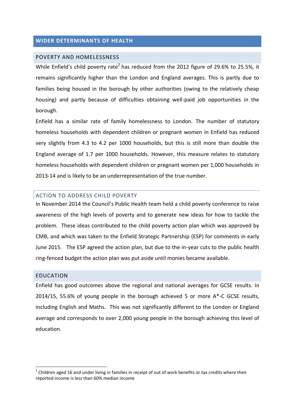# <span id="page-8-0"></span>**WIDER DETERMINANTS OF HEALTH**

# <span id="page-8-1"></span>POVERTY AND HOMELESSNESS

While Enfield's child poverty rate<sup>2</sup> has reduced from the 2012 figure of 29.6% to 25.5%, it remains significantly higher than the London and England averages. This is partly due to families being housed in the borough by other authorities (owing to the relatively cheap housing) and partly because of difficulties obtaining well-paid job opportunities in the borough.

Enfield has a similar rate of family homelessness to London. The number of statutory homeless households with dependent children or pregnant women in Enfield has reduced very slightly from 4.3 to 4.2 per 1000 households, but this is still more than double the England average of 1.7 per 1000 households. However, this measure relates to statutory homeless households with dependent children or pregnant women per 1,000 households in 2013-14 and is likely to be an underrepresentation of the true number.

#### <span id="page-8-2"></span>ACTION TO ADDRESS CHILD POVERTY

In November 2014 the Council's Public Health team held a child poverty conference to raise awareness of the high levels of poverty and to generate new ideas for how to tackle the problem. These ideas contributed to the child poverty action plan which was approved by CMB, and which was taken to the Enfield Strategic Partnership (ESP) for comments in early June 2015. The ESP agreed the action plan, but due to the in-year cuts to the public health ring-fenced budget the action plan was put aside until monies became available.

#### <span id="page-8-3"></span>EDUCATION

**.** 

Enfield has good outcomes above the regional and national averages for GCSE results. In 2014/15, 55.6% of young people in the borough achieved 5 or more A\*-C GCSE results, including English and Maths. This was not significantly different to the London or England average and corresponds to over 2,000 young people in the borough achieving this level of education.

 $2$  Children aged 16 and under living in families in receipt of out of work benefits or tax credits where their reported income is less than 60% median income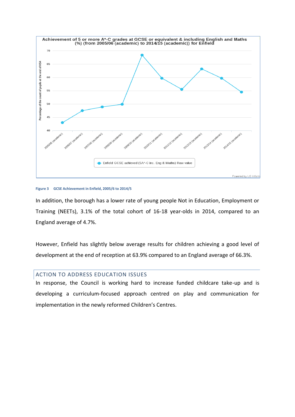

#### <span id="page-9-1"></span>**Figure 3 GCSE Achievement in Enfield, 2005/6 to 2014/5**

In addition, the borough has a lower rate of young people Not in Education, Employment or Training (NEETs), 3.1% of the total cohort of 16-18 year-olds in 2014, compared to an England average of 4.7%.

However, Enfield has slightly below average results for children achieving a good level of development at the end of reception at 63.9% compared to an England average of 66.3%.

# <span id="page-9-0"></span>ACTION TO ADDRESS EDUCATION ISSUES

In response, the Council is working hard to increase funded childcare take-up and is developing a curriculum-focused approach centred on play and communication for implementation in the newly reformed Children's Centres.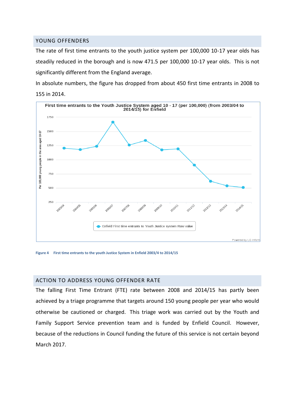## <span id="page-10-0"></span>YOUNG OFFENDERS

The rate of first time entrants to the youth justice system per 100,000 10-17 year olds has steadily reduced in the borough and is now 471.5 per 100,000 10-17 year olds. This is not significantly different from the England average.

In absolute numbers, the figure has dropped from about 450 first time entrants in 2008 to 155 in 2014.



<span id="page-10-2"></span>**Figure 4 First time entrants to the youth Justice System in Enfield 2003/4 to 2014/15**

# <span id="page-10-1"></span>ACTION TO ADDRESS YOUNG OFFENDER RATE

The falling First Time Entrant (FTE) rate between 2008 and 2014/15 has partly been achieved by a triage programme that targets around 150 young people per year who would otherwise be cautioned or charged. This triage work was carried out by the Youth and Family Support Service prevention team and is funded by Enfield Council. However, because of the reductions in Council funding the future of this service is not certain beyond March 2017.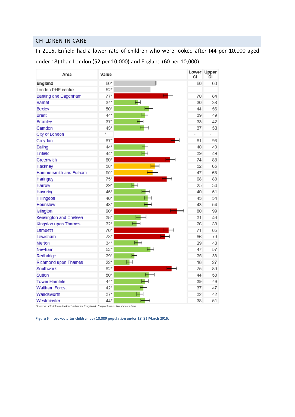# <span id="page-11-0"></span>CHILDREN IN CARE

In 2015, Enfield had a lower rate of children who were looked after (44 per 10,000 aged under 18) than London (52 per 10,000) and England (60 per 10,000).

| Area                          | Value   |   | Lower<br>CI    | Upper<br>СI    |
|-------------------------------|---------|---|----------------|----------------|
| England                       | 60*     |   | 60             | 60             |
| London PHE centre             | $52*$   |   | $\overline{a}$ |                |
| <b>Barking and Dagenham</b>   | $77*$   |   | 70             | 84             |
| <b>Barnet</b>                 | $34*$   | ⊢ | 30             | 38             |
| <b>Bexley</b>                 | $50*$   |   | 44             | 56             |
| <b>Brent</b>                  | 44*     |   | 39             | 49             |
| <b>Bromley</b>                | $37*$   |   | 33             | 42             |
| Camden                        | 43*     |   | 37             | 50             |
| City of London                | $\star$ |   |                | $\overline{a}$ |
| Croydon                       | $87*$   |   | 81             | 93             |
| Ealing                        | 44*     |   | 40             | 49             |
| Enfield                       | 44*     |   | 39             | 49             |
| Greenwich                     | $80*$   |   | 74             | 88             |
| Hackney                       | 58*     |   | 52             | 65             |
| <b>Hammersmith and Fulham</b> | $55*$   |   | 47             | 63             |
| Haringey                      | $75*$   |   | 68             | 83             |
| Harrow                        | $29*$   |   | 25             | 34             |
| Havering                      | 45*     |   | 40             | 51             |
| Hillingdon                    | 48*     |   | 43             | 54             |
| <b>Hounslow</b>               | 48*     |   | 43             | 54             |
| Islington                     | $90*$   |   | 80             | 99             |
| Kensington and Chelsea        | $38*$   |   | 31             | 46             |
| Kingston upon Thames          | $32*$   |   | 26             | 38             |
| Lambeth                       | 78*     |   | 71             | 85             |
| Lewisham                      | $73*$   |   | 66             | 79             |
| Merton                        | $34*$   |   | 29             | 40             |
| Newham                        | $52*$   |   | 47             | 57             |
| Redbridge                     | $29*$   |   | 25             | 33             |
| <b>Richmond upon Thames</b>   | $22*$   |   | 18             | 27             |
| Southwark                     | $82*$   |   | 75             | 89             |
| Sutton                        | $50*$   |   | 44             | 58             |
| <b>Tower Hamlets</b>          | 44*     |   | 39             | 49             |
| <b>Waltham Forest</b>         | $42*$   |   | 37             | 47             |
| Wandsworth                    | $37*$   |   | 32             | 42             |
| Westminster                   | 44*     |   | 38             | 51             |

Source: Children looked after in England, Department for Education.

<span id="page-11-1"></span>**Figure 5 Looked after children per 10,000 population under 18, 31 March 2015.**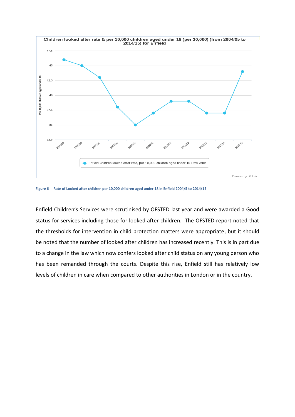

<span id="page-12-0"></span>**Figure 6 Rate of Looked after children per 10,000 children aged under 18 in Enfield 2004/5 to 2014/15**

Enfield Children's Services were scrutinised by OFSTED last year and were awarded a Good status for services including those for looked after children. The OFSTED report noted that the thresholds for intervention in child protection matters were appropriate, but it should be noted that the number of looked after children has increased recently. This is in part due to a change in the law which now confers looked after child status on any young person who has been remanded through the courts. Despite this rise, Enfield still has relatively low levels of children in care when compared to other authorities in London or in the country.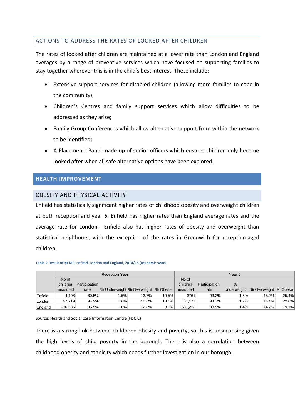# <span id="page-13-0"></span>ACTIONS TO ADDRESS THE RATES OF LOOKED AFTER CHILDREN

The rates of looked after children are maintained at a lower rate than London and England averages by a range of preventive services which have focused on supporting families to stay together wherever this is in the child's best interest. These include:

- Extensive support services for disabled children (allowing more families to cope in the community);
- Children's Centres and family support services which allow difficulties to be addressed as they arise;
- Family Group Conferences which allow alternative support from within the network to be identified;
- A Placements Panel made up of senior officers which ensures children only become looked after when all safe alternative options have been explored.

# <span id="page-13-1"></span>**HEALTH IMPROVEMENT**

# <span id="page-13-2"></span>OBESITY AND PHYSICAL ACTIVITY

Enfield has statistically significant higher rates of childhood obesity and overweight children at both reception and year 6. Enfield has higher rates than England average rates and the average rate for London. Enfield also has higher rates of obesity and overweight than statistical neighbours, with the exception of the rates in Greenwich for reception-aged children.

| Table 2 Result of NCMP, Enfield, London and England, 2014/15 (academic year) |                       |               |                            |       |         |          |               |                    |                      |       |
|------------------------------------------------------------------------------|-----------------------|---------------|----------------------------|-------|---------|----------|---------------|--------------------|----------------------|-------|
|                                                                              | <b>Reception Year</b> |               |                            |       | Year 6  |          |               |                    |                      |       |
|                                                                              | No of                 |               |                            |       |         | No of    |               |                    |                      |       |
|                                                                              | children              | Participation |                            |       |         | children | Participation | %                  |                      |       |
|                                                                              | measured              | rate          | % Underweight % Overweight |       | % Obese | measured | rate          | <b>Underweight</b> | % Overweight % Obese |       |
| <b>Enfield</b>                                                               | 4,106                 | 89.5%         | 1.5%                       | 12.7% | 10.5%   | 3761     | 93.2%         | 1.5%               | 15.7%                | 25.4% |
| London                                                                       | 97,219                | 94.9%         | 1.6%                       | 12.0% | 10.1%   | 81,177   | 94.7%         | 1.7%               | 14.6%                | 22.6% |
| England                                                                      | 610,636               | 95.5%         | 1.0%                       | 12.8% | 9.1%    | 531,223  | 93.9%         | 1.4%               | 14.2%                | 19.1% |

Source: Health and Social Care Information Centre (HSCIC)

There is a strong link between childhood obesity and poverty, so this is unsurprising given the high levels of child poverty in the borough. There is also a correlation between childhood obesity and ethnicity which needs further investigation in our borough.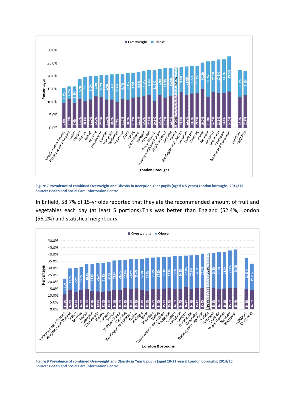

<span id="page-14-0"></span>**Figure 7 Prevalence of combined Overweight and Obesity in Reception Year pupils (aged 4-5 years) London boroughs; 2014/15 Source: Health and Social Care Information Centre**

In Enfield, 58.7% of 15-yr olds reported that they ate the recommended amount of fruit and vegetables each day (at least 5 portions).This was better than England (52.4%, London (56.2%) and statistical neighbours.



<span id="page-14-1"></span>**Figure 8 Prevalence of combined Overweight and Obesity in Year 6 pupils (aged 10-11 years) London boroughs; 2014/15 Source: Health and Social Care Information Centre**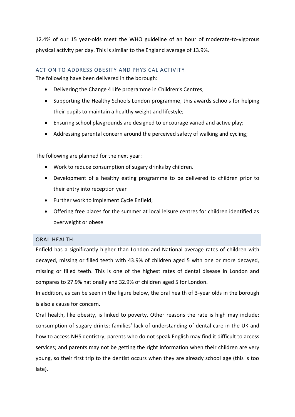12.4% of our 15 year-olds meet the WHO guideline of an hour of moderate-to-vigorous physical activity per day. This is similar to the England average of 13.9%.

# <span id="page-15-0"></span>ACTION TO ADDRESS OBESITY AND PHYSICAL ACTIVITY

The following have been delivered in the borough:

- Delivering the Change 4 Life programme in Children's Centres;
- Supporting the Healthy Schools London programme, this awards schools for helping their pupils to maintain a healthy weight and lifestyle;
- Ensuring school playgrounds are designed to encourage varied and active play;
- Addressing parental concern around the perceived safety of walking and cycling;

The following are planned for the next year:

- Work to reduce consumption of sugary drinks by children.
- Development of a healthy eating programme to be delivered to children prior to their entry into reception year
- Further work to implement Cycle Enfield;
- Offering free places for the summer at local leisure centres for children identified as overweight or obese

# <span id="page-15-1"></span>ORAL HEALTH

Enfield has a significantly higher than London and National average rates of children with decayed, missing or filled teeth with 43.9% of children aged 5 with one or more decayed, missing or filled teeth. This is one of the highest rates of dental disease in London and compares to 27.9% nationally and 32.9% of children aged 5 for London.

In addition, as can be seen in the figure below, the oral health of 3-year olds in the borough is also a cause for concern.

Oral health, like obesity, is linked to poverty. Other reasons the rate is high may include: consumption of sugary drinks; families' lack of understanding of dental care in the UK and how to access NHS dentistry; parents who do not speak English may find it difficult to access services; and parents may not be getting the right information when their children are very young, so their first trip to the dentist occurs when they are already school age (this is too late).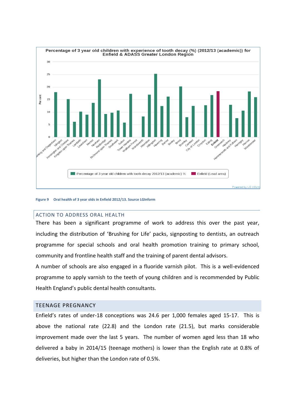

#### <span id="page-16-2"></span>**Figure 9 Oral health of 3 year olds in Enfield 2012/13. Source LGInform**

#### <span id="page-16-0"></span>ACTION TO ADDRESS ORAL HEALTH

There has been a significant programme of work to address this over the past year, including the distribution of 'Brushing for Life' packs, signposting to dentists, an outreach programme for special schools and oral health promotion training to primary school, community and frontline health staff and the training of parent dental advisors.

A number of schools are also engaged in a fluoride varnish pilot. This is a well-evidenced programme to apply varnish to the teeth of young children and is recommended by Public Health England's public dental health consultants.

## <span id="page-16-1"></span>TEENAGE PREGNANCY

Enfield's rates of under-18 conceptions was 24.6 per 1,000 females aged 15-17. This is above the national rate (22.8) and the London rate (21.5), but marks considerable improvement made over the last 5 years. The number of women aged less than 18 who delivered a baby in 2014/15 (teenage mothers) is lower than the English rate at 0.8% of deliveries, but higher than the London rate of 0.5%.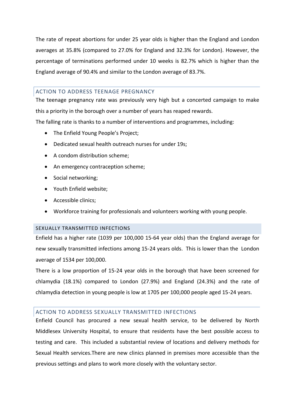The rate of repeat abortions for under 25 year olds is higher than the England and London averages at 35.8% (compared to 27.0% for England and 32.3% for London). However, the percentage of terminations performed under 10 weeks is 82.7% which is higher than the England average of 90.4% and similar to the London average of 83.7%.

# <span id="page-17-0"></span>ACTION TO ADDRESS TEENAGE PREGNANCY

The teenage pregnancy rate was previously very high but a concerted campaign to make this a priority in the borough over a number of years has reaped rewards.

The falling rate is thanks to a number of interventions and programmes, including:

- The Enfield Young People's Project:
- Dedicated sexual health outreach nurses for under 19s;
- A condom distribution scheme;
- An emergency contraception scheme;
- Social networking;
- Youth Enfield website;
- Accessible clinics;
- Workforce training for professionals and volunteers working with young people.

#### <span id="page-17-1"></span>SEXUALLY TRANSMITTED INFECTIONS

Enfield has a higher rate (1039 per 100,000 15-64 year olds) than the England average for new sexually transmitted infections among 15-24 years olds. This is lower than the London average of 1534 per 100,000.

There is a low proportion of 15-24 year olds in the borough that have been screened for chlamydia (18.1%) compared to London (27.9%) and England (24.3%) and the rate of chlamydia detection in young people is low at 1705 per 100,000 people aged 15-24 years.

# <span id="page-17-2"></span>ACTION TO ADDRESS SEXUALLY TRANSMITTED INFECTIONS

Enfield Council has procured a new sexual health service, to be delivered by North Middlesex University Hospital, to ensure that residents have the best possible access to testing and care. This included a substantial review of locations and delivery methods for Sexual Health services.There are new clinics planned in premises more accessible than the previous settings and plans to work more closely with the voluntary sector.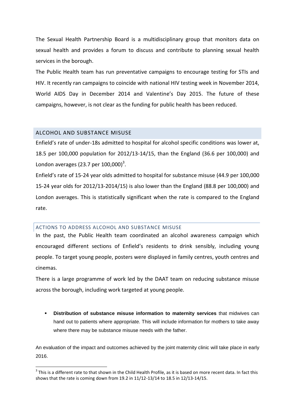The Sexual Health Partnership Board is a multidisciplinary group that monitors data on sexual health and provides a forum to discuss and contribute to planning sexual health services in the borough.

The Public Health team has run preventative campaigns to encourage testing for STIs and HIV. It recently ran campaigns to coincide with national HIV testing week in November 2014, World AIDS Day in December 2014 and Valentine's Day 2015. The future of these campaigns, however, is not clear as the funding for public health has been reduced.

# <span id="page-18-0"></span>ALCOHOL AND SUBSTANCE MISUSE

**.** 

Enfield's rate of under-18s admitted to hospital for alcohol specific conditions was lower at, 18.5 per 100,000 population for 2012/13-14/15, than the England (36.6 per 100,000) and London averages (23.7 per  $100,000$ )<sup>3</sup>.

Enfield's rate of 15-24 year olds admitted to hospital for substance misuse (44.9 per 100,000 15-24 year olds for 2012/13-2014/15) is also lower than the England (88.8 per 100,000) and London averages. This is statistically significant when the rate is compared to the England rate.

#### <span id="page-18-1"></span>ACTIONS TO ADDRESS ALCOHOL AND SUBSTANCE MISUSE

In the past, the Public Health team coordinated an alcohol awareness campaign which encouraged different sections of Enfield's residents to drink sensibly, including young people. To target young people, posters were displayed in family centres, youth centres and cinemas.

There is a large programme of work led by the DAAT team on reducing substance misuse across the borough, including work targeted at young people.

 **Distribution of substance misuse information to maternity services** that midwives can hand out to patients where appropriate. This will include information for mothers to take away where there may be substance misuse needs with the father.

An evaluation of the impact and outcomes achieved by the joint maternity clinic will take place in early 2016.

 $3$  This is a different rate to that shown in the Child Health Profile, as it is based on more recent data. In fact this shows that the rate is coming down from 19.2 in 11/12-13/14 to 18.5 in 12/13-14/15.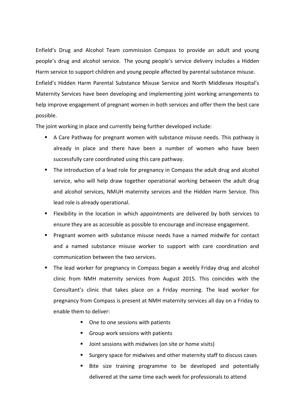Enfield's Drug and Alcohol Team commission Compass to provide an adult and young people's drug and alcohol service. The young people's service delivery includes a Hidden Harm service to support children and young people affected by parental substance misuse. Enfield's Hidden Harm Parental Substance Misuse Service and North Middlesex Hospital's Maternity Services have been developing and implementing joint working arrangements to help improve engagement of pregnant women in both services and offer them the best care possible.

The joint working in place and currently being further developed include:

- A Care Pathway for pregnant women with substance misuse needs. This pathway is already in place and there have been a number of women who have been successfully care coordinated using this care pathway.
- The introduction of a lead role for pregnancy in Compass the adult drug and alcohol service, who will help draw together operational working between the adult drug and alcohol services, NMUH maternity services and the Hidden Harm Service. This lead role is already operational.
- **Filexibility in the location in which appointments are delivered by both services to** ensure they are as accessible as possible to encourage and increase engagement.
- **Pregnant women with substance misuse needs have a named midwife for contact** and a named substance misuse worker to support with care coordination and communication between the two services.
- The lead worker for pregnancy in Compass began a weekly Friday drug and alcohol clinic from NMH maternity services from August 2015. This coincides with the Consultant's clinic that takes place on a Friday morning. The lead worker for pregnancy from Compass is present at NMH maternity services all day on a Friday to enable them to deliver:
	- One to one sessions with patients
	- Group work sessions with patients
	- **Democial Sessions with midwives (on site or home visits)**
	- Surgery space for midwives and other maternity staff to discuss cases
	- Bite size training programme to be developed and potentially delivered at the same time each week for professionals to attend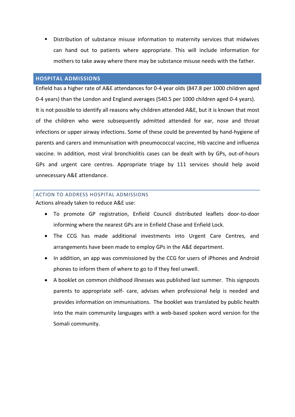Distribution of substance misuse information to maternity services that midwives can hand out to patients where appropriate. This will include information for mothers to take away where there may be substance misuse needs with the father.

# <span id="page-20-0"></span>**HOSPITAL ADMISSIONS**

Enfield has a higher rate of A&E attendances for 0-4 year olds (847.8 per 1000 children aged 0-4 years) than the London and England averages (540.5 per 1000 children aged 0-4 years). It is not possible to identify all reasons why children attended A&E, but it is known that most of the children who were subsequently admitted attended for ear, nose and throat infections or upper airway infections. Some of these could be prevented by hand-hygiene of parents and carers and immunisation with pneumococcal vaccine, Hib vaccine and influenza vaccine. In addition, most viral bronchiolitis cases can be dealt with by GPs, out-of-hours GPs and urgent care centres. Appropriate triage by 111 services should help avoid unnecessary A&E attendance.

# <span id="page-20-1"></span>ACTION TO ADDRESS HOSPITAL ADMISSIONS

Actions already taken to reduce A&E use:

- To promote GP registration, Enfield Council distributed leaflets door-to-door informing where the nearest GPs are in Enfield Chase and Enfield Lock.
- The CCG has made additional investments into Urgent Care Centres, and arrangements have been made to employ GPs in the A&E department.
- In addition, an app was commissioned by the CCG for users of iPhones and Android phones to inform them of where to go to if they feel unwell.
- A booklet on common childhood illnesses was published last summer. This signposts parents to appropriate self- care, advises when professional help is needed and provides information on immunisations. The booklet was translated by public health into the main community languages with a web-based spoken word version for the Somali community.